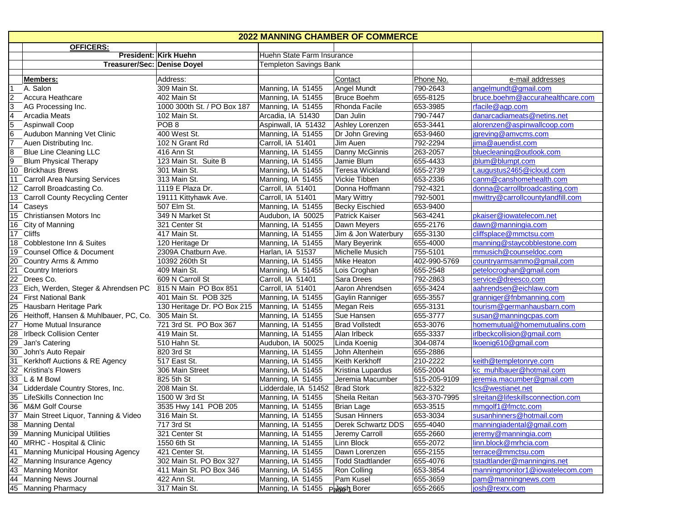|           | <b>2022 MANNING CHAMBER OF COMMERCE</b> |                             |                                   |                         |              |                                   |  |  |  |  |
|-----------|-----------------------------------------|-----------------------------|-----------------------------------|-------------------------|--------------|-----------------------------------|--|--|--|--|
|           | <b>OFFICERS:</b>                        |                             |                                   |                         |              |                                   |  |  |  |  |
|           |                                         | President: Kirk Huehn       | Huehn State Farm Insurance        |                         |              |                                   |  |  |  |  |
|           | Treasurer/Sec: Denise Doyel             |                             | <b>Templeton Savings Bank</b>     |                         |              |                                   |  |  |  |  |
|           | <b>Members:</b>                         | Address:                    |                                   | Contact                 | Phone No.    | e-mail addresses                  |  |  |  |  |
|           | A. Salon                                | 309 Main St.                | Manning, IA 51455                 | Angel Mundt             | 790-2643     | angelmundt@gmail.com              |  |  |  |  |
|           | Accura Heathcare                        | $\overline{402}$ Main St    | Manning, IA 51455                 | Bruce Boehm             | 655-8125     | bruce.boehm@accurahealthcare.com  |  |  |  |  |
|           | AG Processing Inc.                      | 1000 300th St. / PO Box 187 | Manning, IA 51455                 | Rhonda Facile           | 653-3985     | rfacile@agp.com                   |  |  |  |  |
|           | Arcadia Meats                           | 102 Main St.                | Arcadia, IA 51430                 | Dan Julin               | 790-7447     | danarcadiameats@netins.net        |  |  |  |  |
|           | <b>Aspinwall Coop</b>                   | POB <sub>8</sub>            | Aspinwall, IA 51432               | Ashley Lorenzen         | 653-3441     | alorenzen@aspinwallcoop.com       |  |  |  |  |
|           | Audubon Manning Vet Clinic              | 400 West St.                | Manning, IA 51455                 | Dr John Greving         | 653-9460     | igreving@amycms.com               |  |  |  |  |
|           | Auen Distributing Inc.                  | 102 N Grant Rd              | Carroll, IA 51401                 | Jim Auen                | 792-2294     | jima@auendist.com                 |  |  |  |  |
| l8        | <b>Blue Line Cleaning LLC</b>           | 416 Ann St                  | Manning, IA 51455                 | Danny McGinnis          | 263-2057     | bluecleaning@outlook.com          |  |  |  |  |
| l9        | <b>Blum Physical Therapy</b>            | 123 Main St. Suite B        | Manning, IA 51455                 | Jamie Blum              | 655-4433     | jblum@blumpt.com                  |  |  |  |  |
|           | 10 Brickhaus Brews                      | 301 Main St.                | Manning, IA 51455                 | <b>Teresa Wickland</b>  | 655-2739     | t.augustus2465@icloud.com         |  |  |  |  |
| 11        | <b>Carroll Area Nursing Services</b>    | 313 Main St.                | Manning, IA 51455                 | Vickie Tibben           | 653-2336     | canm@canshomehealth.com           |  |  |  |  |
| 12        | Carroll Broadcasting Co.                | 1119 E Plaza Dr.            | Carroll, IA 51401                 | Donna Hoffmann          | 792-4321     | donna@carrollbroadcasting.com     |  |  |  |  |
| 13        | <b>Carroll County Recycling Center</b>  | 19111 Kittyhawk Ave.        | Carroll, IA 51401                 | Mary Wittry             | 792-5001     | mwittry@carrollcountylandfill.com |  |  |  |  |
|           | 14 Caseys                               | 507 Elm St.                 | Manning, IA 51455                 | Becky Eischied          | 653-9400     |                                   |  |  |  |  |
| 15        | <b>Christiansen Motors Inc</b>          | 349 N Market St             | Audubon, IA 50025                 | Patrick Kaiser          | 563-4241     | pkaiser@iowatelecom.net           |  |  |  |  |
| 16        | City of Manning                         | 321 Center St               | Manning, IA 51455                 | Dawn Meyers             | 655-2176     | dawn@manningia.com                |  |  |  |  |
| 117       | Cliffs                                  | 417 Main St.                | Manning, IA 51455                 | Jim & Jon Waterbury     | 655-3130     | cliffsplace@mmctsu.com            |  |  |  |  |
| 18        | Cobblestone Inn & Suites                | 120 Heritage Dr             | Manning, IA 51455                 | Mary Beyerink           | 655-4000     | manning@staycobblestone.com       |  |  |  |  |
| 19        | Counsel Office & Document               | 2309A Chatburn Ave.         | Harlan, IA 51537                  | Michelle Musich         | 755-5101     | mmusich@counseldoc.com            |  |  |  |  |
| I20       | Country Arms & Ammo                     | 10392 260th St              | Manning, IA 51455                 | Mike Heaton             | 402-990-5769 | countryarmsammo@gmail,com         |  |  |  |  |
| 21        | <b>Country Interiors</b>                | 409 Main St.                | Manning, IA 51455                 | Lois Croghan            | 655-2548     | petelocroghan@gmail.com           |  |  |  |  |
| 22        | Drees Co.                               | 609 N Carroll St            | Carroll, IA 51401                 | Sara Drees              | 792-2863     | service@dreesco.com               |  |  |  |  |
|           | 23 Eich, Werden, Steger & Ahrendsen PC  | 815 N Main PO Box 851       | Carroll, IA 51401                 | Aaron Ahrendsen         | 655-3424     | aahrendsen@eichlaw.com            |  |  |  |  |
| 24        | <b>First National Bank</b>              | 401 Main St. POB 325        | Manning, IA 51455                 | Gaylin Ranniger         | 655-3557     | granniger@fnbmanning.com          |  |  |  |  |
| 125       | Hausbarn Heritage Park                  | 130 Heritage Dr. PO Box 215 | Manning, IA 51455                 | Megan Reis              | 655-3131     | tourism@germanhausbarn.com        |  |  |  |  |
| 26        | Heithoff, Hansen & Muhlbauer, PC, Co.   | 305 Main St.                | Manning, IA 51455                 | Sue Hansen              | 655-3777     | susan@manningcpas.com             |  |  |  |  |
| 127       | Home Mutual Insurance                   | 721 3rd St. PO Box 367      | Manning, IA 51455                 | <b>Brad Vollstedt</b>   | 653-3076     | homemutual@homemutualins.com      |  |  |  |  |
| 28        | <b>Irlbeck Collision Center</b>         | 419 Main St.                | Manning, IA 51455                 | Alan Irlbeck            | 655-3337     | irlbeckcollision@gmail.com        |  |  |  |  |
| <b>29</b> | Jan's Catering                          | 510 Hahn St.                | Audubon, IA 50025                 | Linda Koenig            | 304-0874     | Ikoenig610@gmail.com              |  |  |  |  |
| 30        | John's Auto Repair                      | 820 3rd St                  | Manning, IA 51455                 | John Altenhein          | 655-2886     |                                   |  |  |  |  |
| 31        | Kerkhoff Auctions & RE Agency           | 517 East St.                | Manning, IA 51455                 | Keith Kerkhoff          | 210-2222     | keith@templetonrye.com            |  |  |  |  |
|           | 32 Kristina's Flowers                   | 306 Main Street             | Manning, IA 51455                 | Kristina Lupardus       | 655-2004     | kc muhlbauer@hotmail.com          |  |  |  |  |
| 33        | L & M Bowl                              | 825 5th St                  | Manning, IA 51455                 | Jeremia Macumber        | 515-205-9109 | jeremia.macumber@gmail.com        |  |  |  |  |
|           | 34 Lidderdale Country Stores, Inc.      | 208 Main St.                | Lidderdale, IA 51452   Brad Stork |                         | 822-5322     | Ics@westianet.net                 |  |  |  |  |
| 35        | <b>LifeSkills Connection Inc</b>        | 1500 W 3rd St               | Manning, IA 51455                 | Sheila Reitan           | 563-370-7995 | slreitan@lifeskillsconnection.com |  |  |  |  |
|           | 36 M&M Golf Course                      | 3535 Hwy 141 POB 205        | Manning, IA 51455                 | Brian Lage              | 653-3515     | mmgolf1@fmctc.com                 |  |  |  |  |
|           | 37 Main Street Liquor, Tanning & Video  | 316 Main St.                | Manning, IA 51455                 | Susan Hinners           | 653-3034     | susanhinners@hotmail.com          |  |  |  |  |
|           | 38 Manning Dental                       | 717 3rd St                  | Manning, IA 51455                 | Derek Schwartz DDS      | 655-4040     | manningiadental@gmail.com         |  |  |  |  |
|           | 39 Manning Municipal Utilities          | 321 Center St               | Manning, IA 51455                 | Jeremy Carroll          | 655-2660     | jeremy@manningia.com              |  |  |  |  |
|           | 40 MRHC - Hospital & Clinic             | 1550 6th St                 | Manning, IA 51455                 | Linn Block              | 655-2072     | linn.block@mrhcia.com             |  |  |  |  |
|           | 41 Manning Municipal Housing Agency     | 421 Center St.              | Manning, IA 51455                 | Dawn Lorenzen           | 655-2155     | terrace@mmctsu.com                |  |  |  |  |
|           | 42 Manning Insurance Agency             | 302 Main St. PO Box 327     | Manning, IA 51455                 | <b>Todd Stadtlander</b> | 655-4076     | tstadtlander@manningins.net       |  |  |  |  |
|           | 43 Manning Monitor                      | 411 Main St. PO Box 346     | Manning, IA 51455                 | Ron Colling             | 653-3854     | manningmonitor1@iowatelecom.com   |  |  |  |  |
|           | 44 Manning News Journal                 | 422 Ann St.                 | Manning, IA 51455                 | Pam Kusel               | 655-3659     | pam@manningnews.com               |  |  |  |  |
|           | 45 Manning Pharmacy                     | 317 Main St.                | Manning, IA 51455                 | <b>Palgen</b> Borer     | 655-2665     | josh@rexrx.com                    |  |  |  |  |